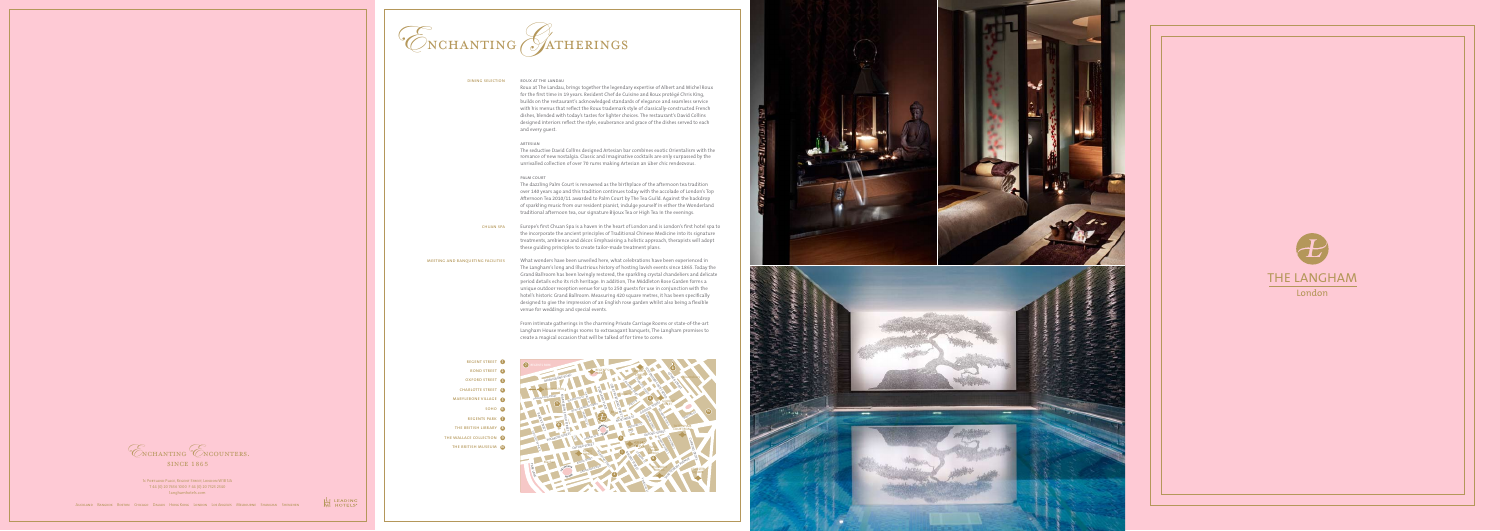

## dining selection

## roux at the landau

Roux at The Landau, brings together the legendary expertise of Albert and Michel Roux for the first time in 19 years. Resident Chef de Cuisine and Roux protégé Chris King, builds on the restaurant's acknowledged standards of elegance and seamless service with his menus that reflect the Roux trademark style of classically-constructed French dishes, blended with today's tastes for lighter choices. The restaurant's David Collins designed interiors reflect the style, exuberance and grace of the dishes served to each and every guest.

## artesian

The seductive David Collins designed Artesian bar combines exotic Orientalism with the romance of new nostalgia. Classic and imaginative cocktails are only surpassed by the unrivalled collection of over 70 rums making Artesian an über chic rendezvous.

## palm court

The dazzling Palm Court is renowned as the birthplace of the afternoon tea tradition over 140 years ago and this tradition continues today with the accolade of London's Top Afternoon Tea 2010/11 awarded to Palm Court by The Tea Guild. Against the backdrop of sparkling music from our resident pianist, indulge yourself in either the Wonderland traditional afternoon tea, our signature Bijoux Tea or High Tea in the evenings.

Europe's first Chuan Spa is a haven in the heart of London and is London's first hotel spa to

chuan spa

the incorporate the ancient principles of Traditional Chinese Medicine into its signature treatments, ambience and décor. Emphasising a holistic approach, therapists will adopt these guiding principles to create tailor-made treatment plans.

What wonders have been unveiled here, what celebrations have been experienced in The Langham's long and illustrious history of hosting lavish events since 1865. Today the Grand Ballroom has been lovingly restored, the sparkling crystal chandeliers and delicate period details echo its rich heritage. In addition, The Middleton Rose Garden forms a unique outdoor reception venue for up to 250 guests for use in conjunction with the hotel's historic Grand Ballroom. Measuring 420 square metres, it has been specifically designed to give the impression of an English rose garden whilst also being a flexible venue for weddings and special events. meeting and banqueting facilities

> From intimate gatherings in the charming Private Carriage Rooms or state-of-the-art Langham House meetings rooms to extravagant banquets, The Langham promises to create a magical occasion that will be talked of for time to come.

- regent street **1**
- bond street **2**
- OXFORD STREET **3**
- charlotte street **4**
- marylebone village **5**
	- soho **6**
- regents park **7**
- the british library **8**
- the wallace collection **9**
	- the british museum **10**